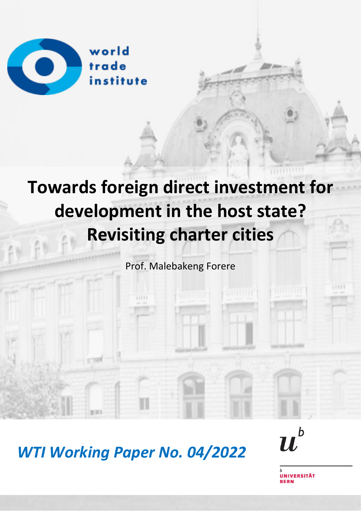

# **Towards foreign direct investment for development in the host state? Revisiting charter cities**

Prof. Malebakeng Forere

*WTI Working Paper No. 04/2022*



**IVERSITÄT**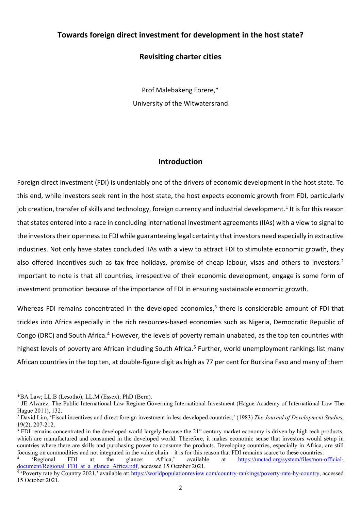## **Towards foreign direct investment for development in the host state?**

## **Revisiting charter cities**

Prof Malebakeng Forere,\* University of the Witwatersrand

## **Introduction**

Foreign direct investment (FDI) is undeniably one of the drivers of economic development in the host state. To this end, while investors seek rent in the host state, the host expects economic growth from FDI, particularly job creation, transfer of skills and technology, foreign currency and industrial development.<sup>[1](#page-1-0)</sup> It is for this reason that states entered into a race in concluding international investment agreements (IIAs) with a view to signal to the investors their openness to FDI while guaranteeing legal certainty that investors need especially in extractive industries. Not only have states concluded IIAs with a view to attract FDI to stimulate economic growth, they also offered incentives such as tax free holidays, promise of cheap labour, visas and others to investors.<sup>[2](#page-1-1)</sup> Important to note is that all countries, irrespective of their economic development, engage is some form of investment promotion because of the importance of FDI in ensuring sustainable economic growth.

Whereas FDI remains concentrated in the developed economies, $3$  there is considerable amount of FDI that trickles into Africa especially in the rich resources-based economies such as Nigeria, Democratic Republic of Congo (DRC) and South Africa.<sup>[4](#page-1-3)</sup> However, the levels of poverty remain unabated, as the top ten countries with highest levels of poverty are African including South Africa.<sup>[5](#page-1-4)</sup> Further, world unemployment rankings list many African countries in the top ten, at double-figure digit as high as 77 per cent for Burkina Faso and many of them

<span id="page-1-0"></span><sup>\*</sup>BA Law; LL.B (Lesotho); LL.M (Essex); PhD (Bern).

<sup>&</sup>lt;sup>1</sup> JE Alvarez, The Public International Law Regime Governing International Investment (Hague Academy of International Law The Hague 2011), 132.

<span id="page-1-1"></span><sup>2</sup> David Lim, 'Fiscal incentives and direct foreign investment in less developed countries,' (1983) *The Journal of Development Studies*, 19(2), 207-212.

<span id="page-1-2"></span> $3$  FDI remains concentrated in the developed world largely because the  $21<sup>st</sup>$  century market economy is driven by high tech products, which are manufactured and consumed in the developed world. Therefore, it makes economic sense that investors would setup in countries where there are skills and purchasing power to consume the products. Developing countries, especially in Africa, are still focusing on commodities and not integrated in the value chain – it is for this reason that FDI remains scarce to these countries.<br>
<sup>4</sup> 'Regional FDI at the glance: Africa,' available at https://unctad.org/system/files/non-

<span id="page-1-3"></span>[https://unctad.org/system/files/non-official](https://unctad.org/system/files/non-official-document/Regional_FDI_at_a_glance_Africa.pdf)document/Regional FDI at a glance Africa.pdf, accessed 15 October 2021.

<span id="page-1-4"></span><sup>&</sup>lt;sup>5</sup> 'Poverty rate by Country 2021,' available at: [https://worldpopulationreview.com/country-rankings/poverty-rate-by-country,](https://worldpopulationreview.com/country-rankings/poverty-rate-by-country) accessed 15 October 2021.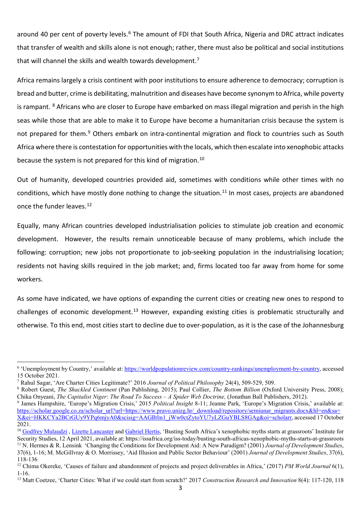around 40 per cent of poverty levels.<sup>[6](#page-2-0)</sup> The amount of FDI that South Africa, Nigeria and DRC attract indicates that transfer of wealth and skills alone is not enough; rather, there must also be political and social institutions that will channel the skills and wealth towards development.<sup>[7](#page-2-1)</sup>

Africa remains largely a crisis continent with poor institutions to ensure adherence to democracy; corruption is bread and butter, crime is debilitating, malnutrition and diseases have become synonym to Africa, while poverty is rampant. <sup>[8](#page-2-2)</sup> Africans who are closer to Europe have embarked on mass illegal migration and perish in the high seas while those that are able to make it to Europe have become a humanitarian crisis because the system is not prepared for them.<sup>[9](#page-2-3)</sup> Others embark on intra-continental migration and flock to countries such as South Africa where there is contestation for opportunities with the locals, which then escalate into xenophobic attacks because the system is not prepared for this kind of migration.<sup>[10](#page-2-4)</sup>

Out of humanity, developed countries provided aid, sometimes with conditions while other times with no conditions, which have mostly done nothing to change the situation.<sup>[11](#page-2-5)</sup> In most cases, projects are abandoned once the funder leaves.<sup>[12](#page-2-6)</sup>

Equally, many African countries developed industrialisation policies to stimulate job creation and economic development. However, the results remain unnoticeable because of many problems, which include the following: corruption; new jobs not proportionate to job-seeking population in the industrialising location; residents not having skills required in the job market; and, firms located too far away from home for some workers.

As some have indicated, we have options of expanding the current cities or creating new ones to respond to challenges of economic development.<sup>[13](#page-2-7)</sup> However, expanding existing cities is problematic structurally and otherwise. To this end, most cities start to decline due to over-population, as it is the case of the Johannesburg

<span id="page-2-0"></span><sup>&</sup>lt;sup>6</sup> 'Unemployment by Country,' available at[: https://worldpopulationreview.com/country-rankings/unemployment-by-country,](https://worldpopulationreview.com/country-rankings/unemployment-by-country) accessed 15 October 2021.

<span id="page-2-1"></span><sup>7</sup> Rahul Sagar, 'Are Charter Cities Legitimate?' 2016 *Journal of Political Philosophy* 24(4), 509-529, 509.

<span id="page-2-2"></span><sup>8</sup> Robert Guest, *The Shackled Continent* (Pan Publishing, 2015); Paul Collier, *The Bottom Billion* (Oxford University Press, 2008); Chika Onyeani, *The Capitalist Niger: The Road To Success – A Spider Web Doctrine*, (Jonathan Ball Publishers, 2012).

<span id="page-2-3"></span><sup>9</sup> James Hampshire, 'Europe's Migration Crisis,' 2015 *Political Insight* 8-11; Jeanne Park, 'Europe's Migration Crisis,' available at: [https://scholar.google.co.za/scholar\\_url?url=https://www.pravo.unizg.hr/\\_download/repository/semiunar\\_migrants.docx&hl=en&sa=](https://scholar.google.co.za/scholar_url?url=https://www.pravo.unizg.hr/_download/repository/semiunar_migrants.docx&hl=en&sa=X&ei=HKKCYa2BCrGUy9YPq6mjyA0&scisig=AAGBfm1_jWw0ctZytoYU7yLZGuYBLS8GAg&oi=scholarr) [X&ei=HKKCYa2BCrGUy9YPq6mjyA0&scisig=AAGBfm1\\_jWw0ctZytoYU7yLZGuYBLS8GAg&oi=scholarr,](https://scholar.google.co.za/scholar_url?url=https://www.pravo.unizg.hr/_download/repository/semiunar_migrants.docx&hl=en&sa=X&ei=HKKCYa2BCrGUy9YPq6mjyA0&scisig=AAGBfm1_jWw0ctZytoYU7yLZGuYBLS8GAg&oi=scholarr) accessed 17 October 2021.

<span id="page-2-4"></span><sup>&</sup>lt;sup>10</sup> Godfrey Mulaudzi, [Lizette Lancaster](https://issafrica.org/author/lizette-lancaster) and [Gabriel Hertis,](https://issafrica.org/author/gabriel-hertis) 'Busting South Africa's xenophobic myths starts at grassroots' Institute for Security Studies, 12 April 2021, available at: https://issafrica.org/iss-today/busting-south-africas-xenophobic-myths-starts-at-grassroots <sup>11</sup> N. Hermes & R. Lensink 'Changing the Conditions for Development Aid: A New Paradigm? (2001) *Journal of Development Studies*, 37(6), 1-16; M. McGillvray & O. Morrissey, 'Aid Illusion and Public Sector Behaviour' (2001) *Journal of Development Studies*, 37(6),

<span id="page-2-5"></span><sup>118-136</sup>

<span id="page-2-6"></span><sup>&</sup>lt;sup>12</sup> Chima Okereke, 'Causes of failure and abandonment of projects and project deliverables in Africa,' (2017) *PM World Journal* 6(1), 1-16.

<span id="page-2-7"></span><sup>13</sup> Matt Coetzee, 'Charter Cities: What if we could start from scratch?' 2017 *Construction Research and Innovation* 8(4): 117-120, 118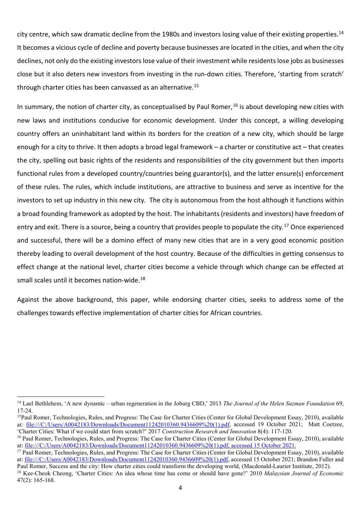city centre, which saw dramatic decline from the 1980s and investors losing value of their existing properties.<sup>[14](#page-3-0)</sup> It becomes a vicious cycle of decline and poverty because businesses are located in the cities, and when the city declines, not only do the existing investors lose value of their investment while residents lose jobs as businesses close but it also deters new investors from investing in the run-down cities. Therefore, 'starting from scratch' through charter cities has been canvassed as an alternative.<sup>[15](#page-3-1)</sup>

In summary, the notion of charter city, as conceptualised by Paul Romer,  $16$  is about developing new cities with new laws and institutions conducive for economic development. Under this concept, a willing developing country offers an uninhabitant land within its borders for the creation of a new city, which should be large enough for a city to thrive. It then adopts a broad legal framework – a charter or constitutive act – that creates the city, spelling out basic rights of the residents and responsibilities of the city government but then imports functional rules from a developed country/countries being guarantor(s), and the latter ensure(s) enforcement of these rules. The rules, which include institutions, are attractive to business and serve as incentive for the investors to set up industry in this new city. The city is autonomous from the host although it functions within a broad founding framework as adopted by the host. The inhabitants (residents and investors) have freedom of entry and exit. There is a source, being a country that provides people to populate the city.<sup>17</sup> Once experienced and successful, there will be a domino effect of many new cities that are in a very good economic position thereby leading to overall development of the host country. Because of the difficulties in getting consensus to effect change at the national level, charter cities become a vehicle through which change can be effected at small scales until it becomes nation-wide.<sup>18</sup>

Against the above background, this paper, while endorsing charter cities, seeks to address some of the challenges towards effective implementation of charter cities for African countries.

<span id="page-3-0"></span><sup>14</sup> Lael Bethlehem, 'A new dynamic – urban regeneration in the Joburg CBD,' 2013 *The Journal of the Helen Suzman Foundation* 69, 17-24.

<span id="page-3-1"></span><sup>&</sup>lt;sup>15</sup>Paul Romer, Technologies, Rules, and Progress: The Case for Charter Cities (Center for Global Development Essay, 2010), available at: file:///C:/Users/A0042183/Downloads/Document11242010360.9436609%20(1).pdf, accessed 19 October 2021; Matt Coetzee, 'Charter Cities: What if we could start from scratch?' 2017 *Construction Research and Innovation* 8(4): 117-120*.* 

<span id="page-3-2"></span><sup>&</sup>lt;sup>16</sup> Paul Romer, Technologies, Rules, and Progress: The Case for Charter Cities (Center for Global Development Essay, 2010), available at: file:///C:/Users/A0042183/Downloads/Document11242010360.9436609%20(1).pdf, accessed 15 October 2021.

<span id="page-3-3"></span><sup>&</sup>lt;sup>17</sup> Paul Romer, Technologies, Rules, and Progress: The Case for Charter Cities (Center for Global Development Essay, 2010), available at: file:///C:/Users/A0042183/Downloads/Document11242010360.9436609%20(1).pdf, accessed 15 October 2021; Brandon Fuller and Paul Romer, Success and the city: How charter cities could transform the developing world, (Macdon

<span id="page-3-4"></span><sup>&</sup>lt;sup>18</sup> Kee-Cheok Cheong, 'Charter Cities: An idea whose time has come or should have gone?' 2010 Malaysian Journal of Economic 47(2): 165-168.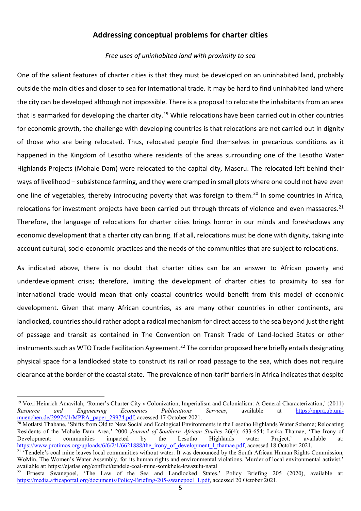## **Addressing conceptual problems for charter cities**

### *Free uses of uninhabited land with proximity to sea*

One of the salient features of charter cities is that they must be developed on an uninhabited land, probably outside the main cities and closer to sea for international trade. It may be hard to find uninhabited land where the city can be developed although not impossible. There is a proposal to relocate the inhabitants from an area that is earmarked for developing the charter city.<sup>[19](#page-4-0)</sup> While relocations have been carried out in other countries for economic growth, the challenge with developing countries is that relocations are not carried out in dignity of those who are being relocated. Thus, relocated people find themselves in precarious conditions as it happened in the Kingdom of Lesotho where residents of the areas surrounding one of the Lesotho Water Highlands Projects (Mohale Dam) were relocated to the capital city, Maseru. The relocated left behind their ways of livelihood – subsistence farming, and they were cramped in small plots where one could not have even one line of vegetables, thereby introducing poverty that was foreign to them.<sup>[20](#page-4-1)</sup> In some countries in Africa. relocations for investment projects have been carried out through threats of violence and even massacres.<sup>[21](#page-4-2)</sup> Therefore, the language of relocations for charter cities brings horror in our minds and foreshadows any economic development that a charter city can bring. If at all, relocations must be done with dignity, taking into account cultural, socio-economic practices and the needs of the communities that are subject to relocations.

As indicated above, there is no doubt that charter cities can be an answer to African poverty and underdevelopment crisis; therefore, limiting the development of charter cities to proximity to sea for international trade would mean that only coastal countries would benefit from this model of economic development. Given that many African countries, as are many other countries in other continents, are landlocked, countries should rather adopt a radical mechanism for direct access to the sea beyond just the right of passage and transit as contained in The Convention on Transit Trade of Land-locked States or other instruments such as WTO Trade Facilitation Agreement.<sup>[22](#page-4-3)</sup> The corridor proposed here briefly entails designating physical space for a landlocked state to construct its rail or road passage to the sea, which does not require clearance at the border of the coastal state. The prevalence of non-tariff barriers in Africa indicates that despite

<span id="page-4-0"></span><sup>19</sup> Voxi Heinrich Amavilah, 'Romer's Charter City v Colonization, Imperialism and Colonialism: A General Characterization,' (2011) *Resource and Engineering Economics Publications Services*, available at [https://mpra.ub.uni](https://mpra.ub.uni-muenchen.de/29974/1/MPRA_paper_29974.pdf)[muenchen.de/29974/1/MPRA\\_paper\\_29974.pdf,](https://mpra.ub.uni-muenchen.de/29974/1/MPRA_paper_29974.pdf) accessed 17 October 2021.

<span id="page-4-1"></span><sup>&</sup>lt;sup>20</sup> Motlatsi Thabane, 'Shifts from Old to New Social and Ecological Environments in the Lesotho Highlands Water Scheme; Relocating Residents of the Mohale Dam Area,' 2000 *Journal of Southern African Studies* 26(4): 633-654; Lenka Thamae, 'The Irony of Development: communities impacted by the Lesotho Highlands water Project,' available at: [https://www.protimos.org/uploads/6/6/2/1/6621888/the\\_irony\\_of\\_development\\_l\\_thamae.pdf,](https://www.protimos.org/uploads/6/6/2/1/6621888/the_irony_of_development_l_thamae.pdf) accessed 18 October 2021.

<span id="page-4-2"></span><sup>&</sup>lt;sup>21</sup> 'Tendele's coal mine leaves local communities without water. It was denounced by the South African Human Rights Commission, WoMin, The Women's Water Assembly, for its human rights and environmental violations. Murder of local environmental activist,' available at: https://ejatlas.org/conflict/tendele-coal-mine-somkhele-kwazulu-natal

<span id="page-4-3"></span><sup>&</sup>lt;sup>22</sup> Ernesta Swanepoel, 'The Law of the Sea and Landlocked States,' Policy Briefing 205 (2020), available at: [https://media.africaportal.org/documents/Policy-Briefing-205-swanepoel\\_1.pdf,](https://media.africaportal.org/documents/Policy-Briefing-205-swanepoel_1.pdf) accessed 20 October 2021.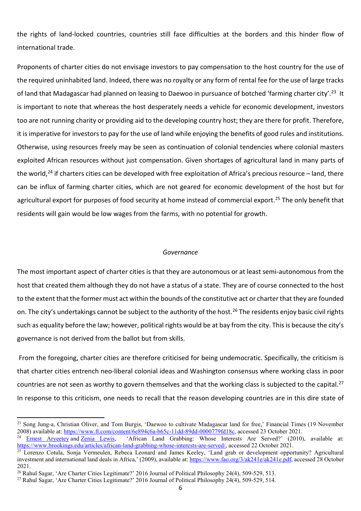the rights of land-locked countries, countries still face difficulties at the borders and this hinder flow of international trade.

Proponents of charter cities do not envisage investors to pay compensation to the host country for the use of the required uninhabited land. Indeed, there was no royalty or any form of rental fee for the use of large tracks of land that Madagascar had planned on leasing to Daewoo in pursuance of botched 'farming charter city'.<sup>23</sup> It is important to note that whereas the host desperately needs a vehicle for economic development, investors too are not running charity or providing aid to the developing country host; they are there for profit. Therefore, it is imperative for investors to pay for the use of land while enjoying the benefits of good rules and institutions. Otherwise, using resources freely may be seen as continuation of colonial tendencies where colonial masters exploited African resources without just compensation. Given shortages of agricultural land in many parts of the world,<sup>[24](#page-5-1)</sup> if charters cities can be developed with free exploitation of Africa's precious resource – land, there can be influx of farming charter cities, which are not geared for economic development of the host but for agricultural export for purposes of food security at home instead of commercial export.<sup>[25](#page-5-2)</sup> The only benefit that residents will gain would be low wages from the farms, with no potential for growth.

#### *Governance*

The most important aspect of charter cities is that they are autonomous or at least semi-autonomous from the host that created them although they do not have a status of a state. They are of course connected to the host to the extent that the former must act within the bounds of the constitutive act or charter that they are founded on. The city's undertakings cannot be subject to the authority of the host.<sup>[26](#page-5-3)</sup> The residents enjoy basic civil rights such as equality before the law; however, political rights would be at bay from the city. This is because the city's governance is not derived from the ballot but from skills.

From the foregoing, charter cities are therefore criticised for being undemocratic. Specifically, the criticism is that charter cities entrench neo-liberal colonial ideas and Washington consensus where working class in poor countries are not seen as worthy to govern themselves and that the working class is subjected to the capital. $^{27}$  $^{27}$  $^{27}$ In response to this criticism, one needs to recall that the reason developing countries are in this dire state of

<span id="page-5-0"></span><sup>&</sup>lt;sup>23</sup> Song Jung-a, Christian Oliver, and Tom Burgis, 'Daewoo to cultivate Madagascar land for free,' Financial Times (19 November 2008) available at: [https://www.ft.com/content/6e894c6a-b65c-11dd-89dd-0000779fd18c,](https://www.ft.com/content/6e894c6a-b65c-11dd-89dd-0000779fd18c) accessed 23 October 2021.<br><sup>24</sup> Ernest Arveetev and Zenia Lewis, 'African Land Grabbing: Whose Interests Are Served?' (2010)

<span id="page-5-1"></span><sup>&#</sup>x27;African Land Grabbing: Whose Interests Are Served?' (2010), available at: [https://www.brookings.edu/articles/african-land-grabbing-whose-interests-are-served/,](https://www.brookings.edu/articles/african-land-grabbing-whose-interests-are-served/) accessed 22 October 2021.

<span id="page-5-2"></span><sup>&</sup>lt;sup>25</sup> Lorenzo Cotula, Sonja Vermeulen, Rebeca Leonard and James Keeley, 'Land grab or development opportunity? Agricultural investment and international land deals in Africa,' (2009), available at: [https://www.fao.org/3/ak241e/ak241e.pdf,](https://www.fao.org/3/ak241e/ak241e.pdf) accessed 28 October 2021.

<span id="page-5-3"></span><sup>&</sup>lt;sup>26</sup> Rahul Sagar, 'Are Charter Cities Legitimate?' 2016 Journal of Political Philosophy 24(4), 509-529, 513.

<span id="page-5-4"></span><sup>27</sup> Rahul Sagar, 'Are Charter Cities Legitimate?' 2016 Journal of Political Philosophy 24(4), 509-529, 514.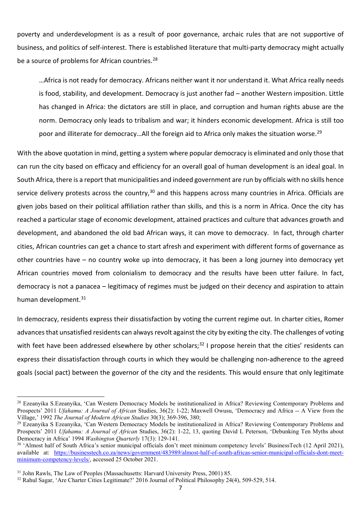poverty and underdevelopment is as a result of poor governance, archaic rules that are not supportive of business, and politics of self-interest. There is established literature that multi-party democracy might actually be a source of problems for African countries.<sup>[28](#page-6-0)</sup>

…Africa is not ready for democracy. Africans neither want it nor understand it. What Africa really needs is food, stability, and development. Democracy is just another fad – another Western imposition. Little has changed in Africa: the dictators are still in place, and corruption and human rights abuse are the norm. Democracy only leads to tribalism and war; it hinders economic development. Africa is still too poor and illiterate for democracy...All the foreign aid to Africa only makes the situation worse.<sup>[29](#page-6-1)</sup>

With the above quotation in mind, getting a system where popular democracy is eliminated and only those that can run the city based on efficacy and efficiency for an overall goal of human development is an ideal goal. In South Africa, there is a report that municipalities and indeed government are run by officials with no skills hence service delivery protests across the country,  $30$  and this happens across many countries in Africa. Officials are given jobs based on their political affiliation rather than skills, and this is a norm in Africa. Once the city has reached a particular stage of economic development, attained practices and culture that advances growth and development, and abandoned the old bad African ways, it can move to democracy. In fact, through charter cities, African countries can get a chance to start afresh and experiment with different forms of governance as other countries have – no country woke up into democracy, it has been a long journey into democracy yet African countries moved from colonialism to democracy and the results have been utter failure. In fact, democracy is not a panacea – legitimacy of regimes must be judged on their decency and aspiration to attain human development.<sup>[31](#page-6-3)</sup>

In democracy, residents express their dissatisfaction by voting the current regime out. In charter cities, Romer advances that unsatisfied residents can always revolt against the city by exiting the city. The challenges of voting with feet have been addressed elsewhere by other scholars;<sup>[32](#page-6-4)</sup> I propose herein that the cities' residents can express their dissatisfaction through courts in which they would be challenging non-adherence to the agreed goals (social pact) between the governor of the city and the residents. This would ensure that only legitimate

<span id="page-6-0"></span><sup>&</sup>lt;sup>28</sup> Ezeanyika S.Ezeanyika, 'Can Western Democracy Models be institutionalized in Africa? Reviewing Contemporary Problems and Prospects' 2011 *Ufahamu: A Journal of African* Studies, 36(2): 1-22; Maxwell Owusu, 'Democracy and Africa -- A View from the Village,' 1992 *The Journal of Modern African Studies* 30(3); 369-396, 380;

<span id="page-6-1"></span><sup>&</sup>lt;sup>29</sup> Ezeanyika S Ezeanyika, 'Can Western Democracy Models be institutionalized in Africa? Reviewing Contemporary Problems and Prospects' 2011 *Ufahamu: A Journal of African* Studies, 36(2): 1-22, 13, quoting David L Peterson, 'Debunking Ten Myths about Democracy in Africa' 1994 *Washington Quarterly* 17(3): 129-141.

<span id="page-6-2"></span><sup>30 &#</sup>x27;Almost half of South Africa's senior municipal officials don't meet minimum competency levels' BusinessTech (12 April 2021), available at: [https://businesstech.co.za/news/government/483989/almost-half-of-south-africas-senior-municipal-officials-dont-meet](https://businesstech.co.za/news/government/483989/almost-half-of-south-africas-senior-municipal-officials-dont-meet-minimum-competency-levels/)[minimum-competency-levels/,](https://businesstech.co.za/news/government/483989/almost-half-of-south-africas-senior-municipal-officials-dont-meet-minimum-competency-levels/) accessed 25 October 2021.

<span id="page-6-3"></span><sup>31</sup> John Rawls, The Law of Peoples (Massachusetts: Harvard University Press, 2001) 85.

<span id="page-6-4"></span><sup>32</sup> Rahul Sagar, 'Are Charter Cities Legitimate?' 2016 Journal of Political Philosophy 24(4), 509-529, 514.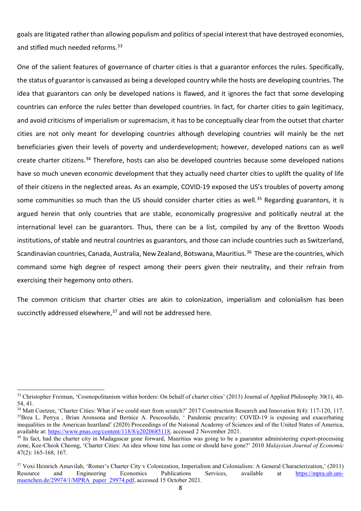goals are litigated rather than allowing populism and politics of special interest that have destroyed economies, and stifled much needed reforms.<sup>[33](#page-7-0)</sup>

One of the salient features of governance of charter cities is that a guarantor enforces the rules. Specifically, the status of guarantor is canvassed as being a developed country while the hosts are developing countries. The idea that guarantors can only be developed nations is flawed, and it ignores the fact that some developing countries can enforce the rules better than developed countries. In fact, for charter cities to gain legitimacy, and avoid criticisms of imperialism or supremacism, it has to be conceptually clear from the outset that charter cities are not only meant for developing countries although developing countries will mainly be the net beneficiaries given their levels of poverty and underdevelopment; however, developed nations can as well create charter citizens.[34](#page-7-1) Therefore, hosts can also be developed countries because some developed nations have so much uneven economic development that they actually need charter cities to uplift the quality of life of their citizens in the neglected areas. As an example, COVID-19 exposed the US's troubles of poverty among some communities so much than the US should consider charter cities as well.<sup>[35](#page-7-2)</sup> Regarding guarantors, it is argued herein that only countries that are stable, economically progressive and politically neutral at the international level can be guarantors. Thus, there can be a list, compiled by any of the Bretton Woods institutions, of stable and neutral countries as guarantors, and those can include countries such as Switzerland, Scandinavian countries, Canada, Australia, New Zealand, Botswana, Mauritius.<sup>[36](#page-7-3)</sup> These are the countries, which command some high degree of respect among their peers given their neutrality, and their refrain from exercising their hegemony onto others.

The common criticism that charter cities are akin to colonization, imperialism and colonialism has been succinctly addressed elsewhere, $37$  and will not be addressed here.

<span id="page-7-0"></span><sup>33</sup> Christopher Freiman, 'Cosmopolitanism within borders: On behalf of charter cities' (2013) Journal of Applied Philosophy 30(1), 40- 54, 41.

<span id="page-7-2"></span><span id="page-7-1"></span><sup>&</sup>lt;sup>34</sup> Matt Coetzee. 'Charter Cities: What if we could start from scratch?' 2017 Construction Research and Innovation 8(4): 117-120, 117. <sup>35</sup>Brea L. Perrya, Brian Aronsona and Bernice A. Pescosolido, ' Pandemic precarity: COVID-19 is exposing and exacerbating inequalities in the American heartland' (2020) Proceedings of the National Academy of Sciences and of the United States of America, available at: [https://www.pnas.org/content/118/8/e2020685118,](https://www.pnas.org/content/118/8/e2020685118) accessed 2 November 2021.

<span id="page-7-3"></span><sup>&</sup>lt;sup>36</sup> In fact, had the charter city in Madagascar gone forward, Mauritius was going to be a guarantor administering export-processing zone, Kee-Cheok Cheong, 'Charter Cities: An idea whose time has come or should have gone?' 2010 *Malaysian Journal of Economic* 47(2): 165-168, 167.

<span id="page-7-4"></span><sup>&</sup>lt;sup>37</sup> Voxi Heinrich Amavilah, 'Romer's Charter City v Colonization, Imperialism and Colonialism: A General Characterization,' (2011) Resource and Engineering Economics Publications Services, available at [https://mpra.ub.uni](https://mpra.ub.uni-muenchen.de/29974/1/MPRA_paper_29974.pdf)[muenchen.de/29974/1/MPRA\\_paper\\_29974.pdf,](https://mpra.ub.uni-muenchen.de/29974/1/MPRA_paper_29974.pdf) accessed 15 October 2021.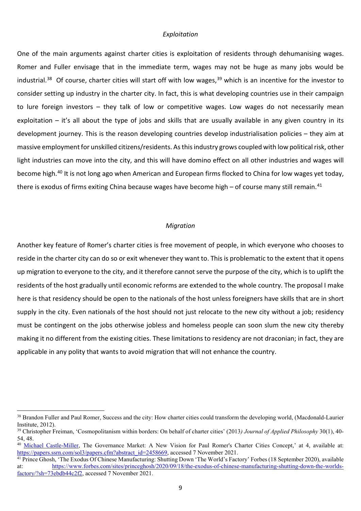#### *Exploitation*

One of the main arguments against charter cities is exploitation of residents through dehumanising wages. Romer and Fuller envisage that in the immediate term, wages may not be huge as many jobs would be industrial.<sup>38</sup> Of course, charter cities will start off with low wages,<sup>[39](#page-8-1)</sup> which is an incentive for the investor to consider setting up industry in the charter city. In fact, this is what developing countries use in their campaign to lure foreign investors – they talk of low or competitive wages. Low wages do not necessarily mean exploitation – it's all about the type of jobs and skills that are usually available in any given country in its development journey. This is the reason developing countries develop industrialisation policies – they aim at massive employment for unskilled citizens/residents. As this industry grows coupled with low political risk, other light industries can move into the city, and this will have domino effect on all other industries and wages will become high.[40](#page-8-2) It is not long ago when American and European firms flocked to China for low wages yet today, there is exodus of firms exiting China because wages have become high – of course many still remain.<sup>[41](#page-8-3)</sup>

#### *Migration*

Another key feature of Romer's charter cities is free movement of people, in which everyone who chooses to reside in the charter city can do so or exit whenever they want to. This is problematic to the extent that it opens up migration to everyone to the city, and it therefore cannot serve the purpose of the city, which is to uplift the residents of the host gradually until economic reforms are extended to the whole country. The proposal I make here is that residency should be open to the nationals of the host unless foreigners have skills that are in short supply in the city. Even nationals of the host should not just relocate to the new city without a job; residency must be contingent on the jobs otherwise jobless and homeless people can soon slum the new city thereby making it no different from the existing cities. These limitations to residency are not draconian; in fact, they are applicable in any polity that wants to avoid migration that will not enhance the country.

l

<span id="page-8-0"></span><sup>&</sup>lt;sup>38</sup> Brandon Fuller and Paul Romer, Success and the city: How charter cities could transform the developing world, (Macdonald-Laurier Institute, 2012).

<span id="page-8-1"></span><sup>39</sup> Christopher Freiman, 'Cosmopolitanism within borders: On behalf of charter cities' (2013*) Journal of Applied Philosophy* 30(1), 40- 54, 48.

<span id="page-8-2"></span><sup>40</sup> [Michael Castle-Miller,](https://papers.ssrn.com/sol3/cf_dev/AbsByAuth.cfm?per_id=2262076) The Governance Market: A New Vision for Paul Romer's Charter Cities Concept,' at 4, available at: [https://papers.ssrn.com/sol3/papers.cfm?abstract\\_id=2458669,](https://papers.ssrn.com/sol3/papers.cfm?abstract_id=2458669) accessed 7 November 2021.

<span id="page-8-3"></span><sup>41</sup> Prince Ghosh, 'The Exodus Of Chinese Manufacturing: Shutting Down 'The World's Factory' Forbes (18 September 2020), available at: [https://www.forbes.com/sites/princeghosh/2020/09/18/the-exodus-of-chinese-manufacturing-shutting-down-the-worlds](https://www.forbes.com/sites/princeghosh/2020/09/18/the-exodus-of-chinese-manufacturing-shutting-down-the-worlds-factory/?sh=73ebdb44c2f2)[factory/?sh=73ebdb44c2f2,](https://www.forbes.com/sites/princeghosh/2020/09/18/the-exodus-of-chinese-manufacturing-shutting-down-the-worlds-factory/?sh=73ebdb44c2f2) accessed 7 November 2021.